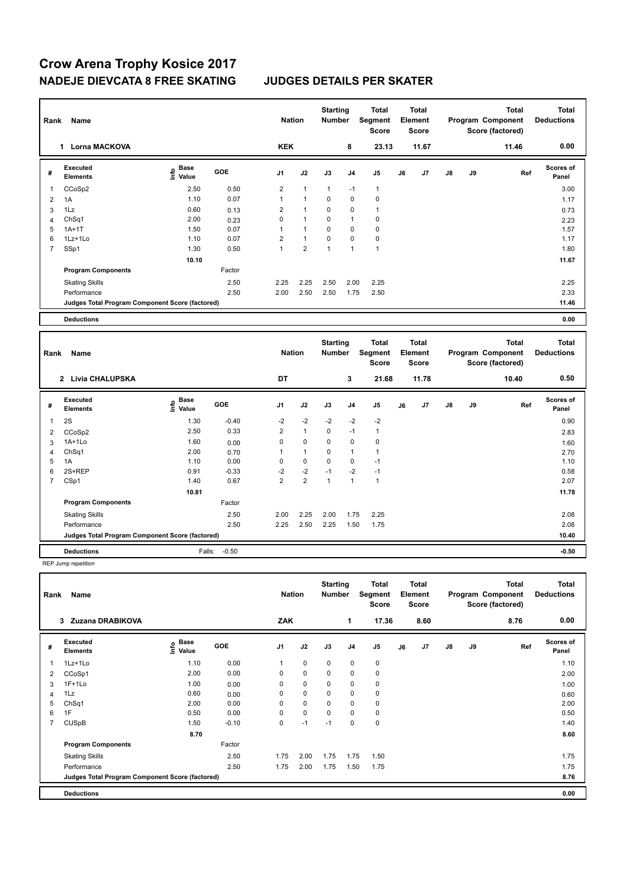### **Crow Arena Trophy Kosice 2017 NADEJE DIEVCATA 8 FREE SKATING JUDGES DETAILS PER SKATER**

| Rank           | <b>Name</b>                                     |                                                          |            | <b>Nation</b>  |                | <b>Starting</b><br><b>Number</b> |                | <b>Total</b><br>Segment<br><b>Score</b> |    | <b>Total</b><br>Element<br><b>Score</b> |               |    | <b>Total</b><br>Program Component<br>Score (factored) | <b>Total</b><br><b>Deductions</b> |
|----------------|-------------------------------------------------|----------------------------------------------------------|------------|----------------|----------------|----------------------------------|----------------|-----------------------------------------|----|-----------------------------------------|---------------|----|-------------------------------------------------------|-----------------------------------|
|                | <b>Lorna MACKOVA</b><br>$\mathbf{1}$            |                                                          |            | <b>KEK</b>     |                |                                  | 8              | 23.13                                   |    | 11.67                                   |               |    | 11.46                                                 | 0.00                              |
| #              | Executed<br><b>Elements</b>                     | <b>Base</b><br>$\frac{e}{E}$ Base<br>$\frac{e}{E}$ Value | GOE        | J <sub>1</sub> | J2             | J3                               | J <sub>4</sub> | J <sub>5</sub>                          | J6 | J7                                      | J8            | J9 | Ref                                                   | Scores of<br>Panel                |
| -1             | CCoSp2                                          | 2.50                                                     | 0.50       | $\overline{2}$ | $\mathbf{1}$   | $\mathbf{1}$                     | $-1$           | $\overline{1}$                          |    |                                         |               |    |                                                       | 3.00                              |
| $\overline{2}$ | 1A                                              | 1.10                                                     | 0.07       | $\mathbf{1}$   | $\mathbf{1}$   | 0                                | $\mathbf 0$    | $\mathbf 0$                             |    |                                         |               |    |                                                       | 1.17                              |
| 3              | 1Lz                                             | 0.60                                                     | 0.13       | $\overline{2}$ | 1              | $\Omega$                         | $\mathbf 0$    | $\mathbf{1}$                            |    |                                         |               |    |                                                       | 0.73                              |
| Δ              | ChSq1                                           | 2.00                                                     | 0.23       | $\Omega$       | $\mathbf{1}$   | $\Omega$                         | 1              | $\pmb{0}$                               |    |                                         |               |    |                                                       | 2.23                              |
| 5              | $1A+1T$                                         | 1.50                                                     | 0.07       | 1              | $\mathbf{1}$   | $\mathbf 0$                      | 0              | $\pmb{0}$                               |    |                                         |               |    |                                                       | 1.57                              |
| 6              | $1Lz+1Lo$                                       | 1.10                                                     | 0.07       | 2              | $\mathbf{1}$   | 0                                | 0              | 0                                       |    |                                         |               |    |                                                       | 1.17                              |
| 7              | SSp1                                            | 1.30                                                     | 0.50       | $\mathbf{1}$   | $\overline{2}$ | $\mathbf{1}$                     | $\mathbf{1}$   | $\overline{1}$                          |    |                                         |               |    |                                                       | 1.80                              |
|                |                                                 | 10.10                                                    |            |                |                |                                  |                |                                         |    |                                         |               |    |                                                       | 11.67                             |
|                | <b>Program Components</b>                       |                                                          | Factor     |                |                |                                  |                |                                         |    |                                         |               |    |                                                       |                                   |
|                | <b>Skating Skills</b>                           |                                                          | 2.50       | 2.25           | 2.25           | 2.50                             | 2.00           | 2.25                                    |    |                                         |               |    |                                                       | 2.25                              |
|                | Performance                                     |                                                          | 2.50       | 2.00           | 2.50           | 2.50                             | 1.75           | 2.50                                    |    |                                         |               |    |                                                       | 2.33                              |
|                | Judges Total Program Component Score (factored) |                                                          |            |                |                |                                  |                |                                         |    |                                         |               |    |                                                       | 11.46                             |
|                |                                                 |                                                          |            |                |                |                                  |                |                                         |    |                                         |               |    |                                                       |                                   |
|                | <b>Deductions</b>                               |                                                          |            |                |                |                                  |                |                                         |    |                                         |               |    |                                                       | 0.00                              |
| Rank           | Name                                            |                                                          |            | <b>Nation</b>  |                | <b>Starting</b><br><b>Number</b> |                | <b>Total</b><br>Segment<br><b>Score</b> |    | <b>Total</b><br>Element<br><b>Score</b> |               |    | <b>Total</b><br>Program Component<br>Score (factored) | <b>Total</b><br><b>Deductions</b> |
|                | 2 Livia CHALUPSKA                               |                                                          |            | DT             |                |                                  | 3              | 21.68                                   |    | 11.78                                   |               |    | 10.40                                                 | 0.50                              |
| #              | Executed<br><b>Elements</b>                     | <b>Base</b><br>lnfo<br>Value                             | <b>GOE</b> | J <sub>1</sub> | J2             | J3                               | J <sub>4</sub> | J <sub>5</sub>                          | J6 | J7                                      | $\mathsf{J}8$ | J9 | Ref                                                   | Scores of<br>Panel                |
| -1             | 2S                                              | 1.30                                                     | $-0.40$    | $-2$           | $-2$           | $-2$                             | $-2$           | $-2$                                    |    |                                         |               |    |                                                       | 0.90                              |

 CCoSp2 2.50 0.33 2 1 0 -1 1 2.83 1A+1Lo 1.60 0.00 0 0 0 0 0 1.60 ChSq1 2.00 0.70 1 1 0 1 1 2.70 1A 1.10 0.00 0 0 0 0 -1 1.10 2S+REP 0.91 -0.33 -2 -2 -1 -2 -1 0.58 7 CSp1 1.40 0.67 2 2 1 1 1

Skating Skills 2.00 2.25 2.00 1.75 2.25 2.50 2.08

Performance 2.50 2.25 2.50 2.25 1.50 1.75 2.08

**Deductions** Falls: -0.50 **-0.50 Judges Total Program Component Score (factored) 10.40**

Factor

 **10.81 11.78**

REP Jump repetition

**Program Components** 

| Rank           | Name                                            |                             |            | <b>Nation</b>  |             | <b>Starting</b><br><b>Number</b> |                | Total<br>Segment<br><b>Score</b> |    | <b>Total</b><br>Element<br><b>Score</b> |               |    | <b>Total</b><br>Program Component<br>Score (factored) | <b>Total</b><br><b>Deductions</b> |
|----------------|-------------------------------------------------|-----------------------------|------------|----------------|-------------|----------------------------------|----------------|----------------------------------|----|-----------------------------------------|---------------|----|-------------------------------------------------------|-----------------------------------|
|                | Zuzana DRABIKOVA<br>3                           |                             |            | ZAK            |             |                                  | 1              | 17.36                            |    | 8.60                                    |               |    | 8.76                                                  | 0.00                              |
| #              | Executed<br><b>Elements</b>                     | Base<br>$\frac{6}{5}$ Value | <b>GOE</b> | J <sub>1</sub> | J2          | J3                               | J <sub>4</sub> | J <sub>5</sub>                   | J6 | J7                                      | $\mathsf{J}8$ | J9 | Ref                                                   | <b>Scores of</b><br>Panel         |
|                | 1Lz+1Lo                                         | 1.10                        | 0.00       | 1              | $\mathbf 0$ | $\mathbf 0$                      | $\mathbf 0$    | $\mathbf 0$                      |    |                                         |               |    |                                                       | 1.10                              |
| 2              | CCoSp1                                          | 2.00                        | 0.00       | 0              | $\mathbf 0$ | $\mathbf 0$                      | $\mathbf 0$    | 0                                |    |                                         |               |    |                                                       | 2.00                              |
| 3              | $1F+1Lo$                                        | 1.00                        | 0.00       | 0              | $\mathbf 0$ | 0                                | $\mathbf 0$    | 0                                |    |                                         |               |    |                                                       | 1.00                              |
| 4              | 1Lz                                             | 0.60                        | 0.00       | 0              | $\mathbf 0$ | $\mathbf 0$                      | $\mathbf 0$    | $\mathbf 0$                      |    |                                         |               |    |                                                       | 0.60                              |
| 5              | ChSq1                                           | 2.00                        | 0.00       | 0              | $\mathbf 0$ | $\mathbf 0$                      | $\mathbf 0$    | 0                                |    |                                         |               |    |                                                       | 2.00                              |
| 6              | 1F                                              | 0.50                        | 0.00       | 0              | $\mathbf 0$ | 0                                | 0              | $\mathbf 0$                      |    |                                         |               |    |                                                       | 0.50                              |
| $\overline{7}$ | <b>CUSpB</b>                                    | 1.50                        | $-0.10$    | 0              | $-1$        | $-1$                             | 0              | $\mathbf 0$                      |    |                                         |               |    |                                                       | 1.40                              |
|                |                                                 | 8.70                        |            |                |             |                                  |                |                                  |    |                                         |               |    |                                                       | 8.60                              |
|                | <b>Program Components</b>                       |                             | Factor     |                |             |                                  |                |                                  |    |                                         |               |    |                                                       |                                   |
|                | <b>Skating Skills</b>                           |                             | 2.50       | 1.75           | 2.00        | 1.75                             | 1.75           | 1.50                             |    |                                         |               |    |                                                       | 1.75                              |
|                | Performance                                     |                             | 2.50       | 1.75           | 2.00        | 1.75                             | 1.50           | 1.75                             |    |                                         |               |    |                                                       | 1.75                              |
|                | Judges Total Program Component Score (factored) |                             |            |                |             |                                  |                |                                  |    |                                         |               |    |                                                       | 8.76                              |
|                | <b>Deductions</b>                               |                             |            |                |             |                                  |                |                                  |    |                                         |               |    |                                                       | 0.00                              |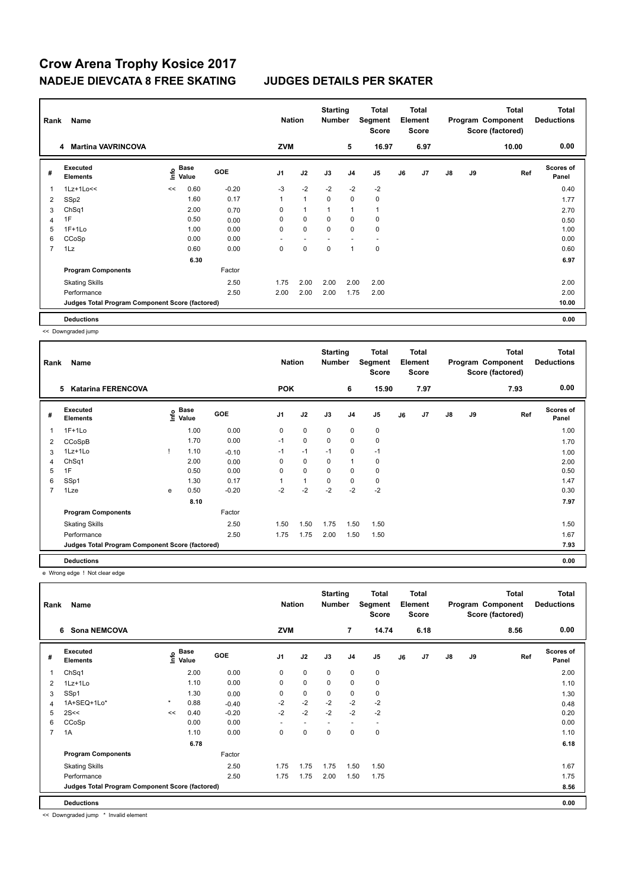# **Crow Arena Trophy Kosice 2017 NADEJE DIEVCATA 8 FREE SKATING JUDGES DETAILS PER SKATER**

| Rank                    | Name                                            |      | <b>Nation</b> |            | <b>Starting</b><br><b>Number</b> | <b>Total</b><br>Segment<br><b>Score</b> | Total<br>Element<br><b>Score</b> |                | Total<br>Program Component<br>Score (factored) |    |      | <b>Total</b><br><b>Deductions</b> |    |       |                           |
|-------------------------|-------------------------------------------------|------|---------------|------------|----------------------------------|-----------------------------------------|----------------------------------|----------------|------------------------------------------------|----|------|-----------------------------------|----|-------|---------------------------|
|                         | <b>Martina VAVRINCOVA</b><br>4                  |      |               |            | <b>ZVM</b>                       |                                         |                                  | 5              | 16.97                                          |    | 6.97 |                                   |    | 10.00 | 0.00                      |
| #                       | Executed<br><b>Elements</b>                     | ١nfo | Base<br>Value | <b>GOE</b> | J <sub>1</sub>                   | J2                                      | J3                               | J <sub>4</sub> | J5                                             | J6 | J7   | $\mathsf{J}8$                     | J9 | Ref   | <b>Scores of</b><br>Panel |
| $\overline{\mathbf{1}}$ | $1Lz+1Lo<<$                                     | <<   | 0.60          | $-0.20$    | $-3$                             | $-2$                                    | $-2$                             | $-2$           | $-2$                                           |    |      |                                   |    |       | 0.40                      |
| 2                       | SSp2                                            |      | 1.60          | 0.17       | $\mathbf{1}$                     | $\mathbf{1}$                            | $\mathbf 0$                      | $\mathbf 0$    | $\mathbf 0$                                    |    |      |                                   |    |       | 1.77                      |
| 3                       | Ch <sub>Sq1</sub>                               |      | 2.00          | 0.70       | 0                                | $\mathbf{1}$                            |                                  | $\overline{1}$ | 1                                              |    |      |                                   |    |       | 2.70                      |
| 4                       | 1F                                              |      | 0.50          | 0.00       | 0                                | 0                                       | 0                                | 0              | 0                                              |    |      |                                   |    |       | 0.50                      |
| 5                       | $1F+1Lo$                                        |      | 1.00          | 0.00       | 0                                | $\mathbf 0$                             | $\mathbf 0$                      | $\mathbf 0$    | 0                                              |    |      |                                   |    |       | 1.00                      |
| 6                       | CCoSp                                           |      | 0.00          | 0.00       |                                  |                                         |                                  |                |                                                |    |      |                                   |    |       | 0.00                      |
| $\overline{7}$          | 1Lz                                             |      | 0.60          | 0.00       | 0                                | $\mathbf 0$                             | 0                                | $\overline{1}$ | $\mathbf 0$                                    |    |      |                                   |    |       | 0.60                      |
|                         |                                                 |      | 6.30          |            |                                  |                                         |                                  |                |                                                |    |      |                                   |    |       | 6.97                      |
|                         | <b>Program Components</b>                       |      |               | Factor     |                                  |                                         |                                  |                |                                                |    |      |                                   |    |       |                           |
|                         | <b>Skating Skills</b>                           |      |               | 2.50       | 1.75                             | 2.00                                    | 2.00                             | 2.00           | 2.00                                           |    |      |                                   |    |       | 2.00                      |
|                         | Performance                                     |      |               | 2.50       | 2.00                             | 2.00                                    | 2.00                             | 1.75           | 2.00                                           |    |      |                                   |    |       | 2.00                      |
|                         | Judges Total Program Component Score (factored) |      |               |            |                                  |                                         |                                  |                |                                                |    |      |                                   |    |       | 10.00                     |
|                         | <b>Deductions</b>                               |      |               |            |                                  |                                         |                                  |                |                                                |    |      |                                   |    |       | 0.00                      |

<< Downgraded jump

| Rank           | Name                                            |      | <b>Nation</b>        |            | <b>Starting</b><br><b>Number</b> | Total<br>Segment<br><b>Score</b> | Total<br>Element<br><b>Score</b> |                |                |    | <b>Total</b><br>Program Component<br>Score (factored) | <b>Total</b><br><b>Deductions</b> |    |      |                           |
|----------------|-------------------------------------------------|------|----------------------|------------|----------------------------------|----------------------------------|----------------------------------|----------------|----------------|----|-------------------------------------------------------|-----------------------------------|----|------|---------------------------|
|                | 5<br><b>Katarina FERENCOVA</b>                  |      |                      |            | <b>POK</b>                       |                                  |                                  | 6              | 15.90          |    | 7.97                                                  |                                   |    | 7.93 | 0.00                      |
| #              | Executed<br><b>Elements</b>                     | lnfo | <b>Base</b><br>Value | <b>GOE</b> | J <sub>1</sub>                   | J2                               | J3                               | J <sub>4</sub> | J <sub>5</sub> | J6 | J <sub>7</sub>                                        | $\mathsf{J}8$                     | J9 | Ref  | <b>Scores of</b><br>Panel |
| 1              | $1F+1Lo$                                        |      | 1.00                 | 0.00       | 0                                | $\mathbf 0$                      | 0                                | 0              | 0              |    |                                                       |                                   |    |      | 1.00                      |
| 2              | CCoSpB                                          |      | 1.70                 | 0.00       | $-1$                             | $\mathbf 0$                      | $\mathbf 0$                      | $\mathbf 0$    | 0              |    |                                                       |                                   |    |      | 1.70                      |
| 3              | $1Lz+1Lo$                                       |      | 1.10                 | $-0.10$    | $-1$                             | $-1$                             | $-1$                             | 0              | $-1$           |    |                                                       |                                   |    |      | 1.00                      |
| 4              | ChSq1                                           |      | 2.00                 | 0.00       | 0                                | 0                                | 0                                | 1              | 0              |    |                                                       |                                   |    |      | 2.00                      |
| 5              | 1F                                              |      | 0.50                 | 0.00       | $\Omega$                         | $\mathbf 0$                      | $\Omega$                         | $\mathbf 0$    | 0              |    |                                                       |                                   |    |      | 0.50                      |
| 6              | SSp1                                            |      | 1.30                 | 0.17       |                                  |                                  | $\Omega$                         | 0              | 0              |    |                                                       |                                   |    |      | 1.47                      |
| $\overline{7}$ | 1Lze                                            | e    | 0.50                 | $-0.20$    | $-2$                             | $-2$                             | $-2$                             | $-2$           | $-2$           |    |                                                       |                                   |    |      | 0.30                      |
|                |                                                 |      | 8.10                 |            |                                  |                                  |                                  |                |                |    |                                                       |                                   |    |      | 7.97                      |
|                | <b>Program Components</b>                       |      |                      | Factor     |                                  |                                  |                                  |                |                |    |                                                       |                                   |    |      |                           |
|                | <b>Skating Skills</b>                           |      |                      | 2.50       | 1.50                             | 1.50                             | 1.75                             | 1.50           | 1.50           |    |                                                       |                                   |    |      | 1.50                      |
|                | Performance                                     |      |                      | 2.50       | 1.75                             | 1.75                             | 2.00                             | 1.50           | 1.50           |    |                                                       |                                   |    |      | 1.67                      |
|                | Judges Total Program Component Score (factored) |      |                      |            |                                  |                                  |                                  |                |                |    |                                                       |                                   |    |      | 7.93                      |
|                | <b>Deductions</b>                               |      |                      |            |                                  |                                  |                                  |                |                |    |                                                       |                                   |    |      | 0.00                      |

e Wrong edge ! Not clear edge

| Rank           | Name                                            |         | <b>Nation</b>                             |            | <b>Starting</b><br><b>Number</b> | <b>Total</b><br>Segment<br><b>Score</b> | <b>Total</b><br>Element<br><b>Score</b> |                |                          |    | <b>Total</b><br>Program Component<br>Score (factored) | <b>Total</b><br><b>Deductions</b> |    |      |                           |
|----------------|-------------------------------------------------|---------|-------------------------------------------|------------|----------------------------------|-----------------------------------------|-----------------------------------------|----------------|--------------------------|----|-------------------------------------------------------|-----------------------------------|----|------|---------------------------|
|                | <b>Sona NEMCOVA</b><br>6                        |         |                                           |            | <b>ZVM</b>                       |                                         |                                         | $\overline{7}$ | 14.74                    |    | 6.18                                                  |                                   |    | 8.56 | 0.00                      |
| #              | Executed<br><b>Elements</b>                     |         | $\frac{e}{E}$ Base<br>$\frac{E}{E}$ Value | <b>GOE</b> | J <sub>1</sub>                   | J2                                      | J3                                      | J <sub>4</sub> | J5                       | J6 | J7                                                    | J8                                | J9 | Ref  | <b>Scores of</b><br>Panel |
|                | ChSq1                                           |         | 2.00                                      | 0.00       | 0                                | $\mathbf 0$                             | $\mathbf 0$                             | $\pmb{0}$      | $\mathbf 0$              |    |                                                       |                                   |    |      | 2.00                      |
| 2              | 1Lz+1Lo                                         |         | 1.10                                      | 0.00       | 0                                | $\mathbf 0$                             | 0                                       | 0              | 0                        |    |                                                       |                                   |    |      | 1.10                      |
| 3              | SSp1                                            |         | 1.30                                      | 0.00       | 0                                | $\pmb{0}$                               | $\mathbf 0$                             | $\pmb{0}$      | 0                        |    |                                                       |                                   |    |      | 1.30                      |
| 4              | 1A+SEQ+1Lo*                                     | $\star$ | 0.88                                      | $-0.40$    | $-2$                             | $-2$                                    | $-2$                                    | $-2$           | $-2$                     |    |                                                       |                                   |    |      | 0.48                      |
| 5              | 2S<<                                            | <<      | 0.40                                      | $-0.20$    | $-2$                             | $-2$                                    | $-2$                                    | $-2$           | $-2$                     |    |                                                       |                                   |    |      | 0.20                      |
| 6              | CCoSp                                           |         | 0.00                                      | 0.00       | ٠                                |                                         |                                         |                | $\overline{\phantom{a}}$ |    |                                                       |                                   |    |      | 0.00                      |
| $\overline{7}$ | 1A                                              |         | 1.10                                      | 0.00       | 0                                | $\mathbf 0$                             | $\mathbf 0$                             | $\mathbf 0$    | $\mathbf 0$              |    |                                                       |                                   |    |      | 1.10                      |
|                |                                                 |         | 6.78                                      |            |                                  |                                         |                                         |                |                          |    |                                                       |                                   |    |      | 6.18                      |
|                | <b>Program Components</b>                       |         |                                           | Factor     |                                  |                                         |                                         |                |                          |    |                                                       |                                   |    |      |                           |
|                | <b>Skating Skills</b>                           |         |                                           | 2.50       | 1.75                             | 1.75                                    | 1.75                                    | 1.50           | 1.50                     |    |                                                       |                                   |    |      | 1.67                      |
|                | Performance                                     |         |                                           | 2.50       | 1.75                             | 1.75                                    | 2.00                                    | 1.50           | 1.75                     |    |                                                       |                                   |    |      | 1.75                      |
|                | Judges Total Program Component Score (factored) |         |                                           |            |                                  |                                         |                                         |                |                          |    |                                                       |                                   |    |      | 8.56                      |
|                | <b>Deductions</b>                               |         |                                           |            |                                  |                                         |                                         |                |                          |    |                                                       |                                   |    |      | 0.00                      |

<< Downgraded jump \* Invalid element